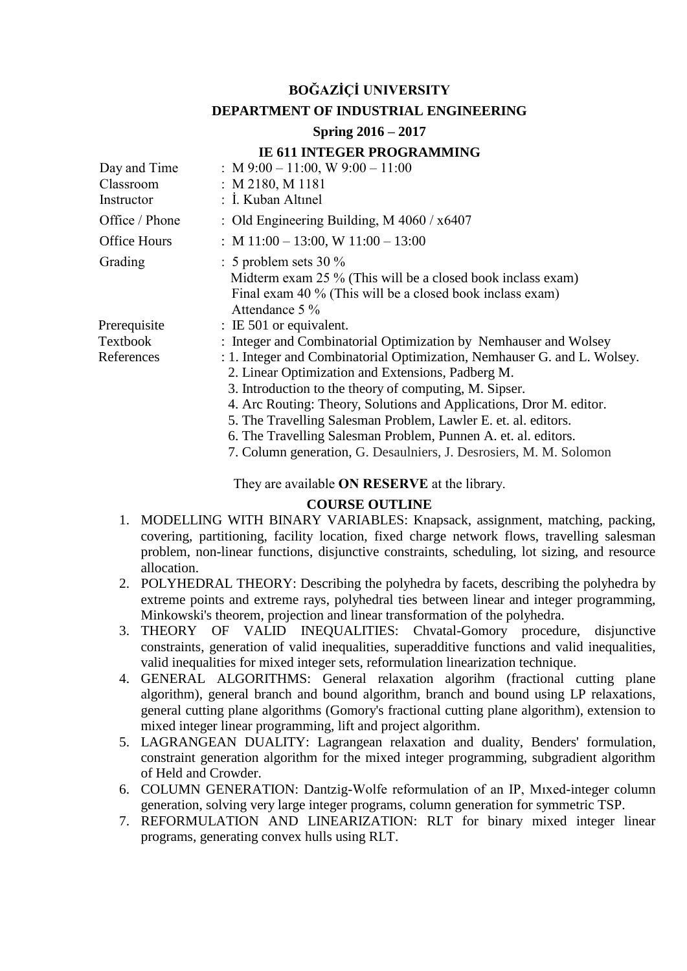# **BOĞAZİÇİ UNIVERSITY**

### **DEPARTMENT OF INDUSTRIAL ENGINEERING**

# **Spring 2016 – 2017**

# **IE 611 INTEGER PROGRAMMING**

| Day and Time<br>Classroom | : M 9:00 - 11:00, W 9:00 - 11:00<br>: M 2180, M 1181                                                                                                                                                                                                                                                                                                                                                                                                                     |  |  |
|---------------------------|--------------------------------------------------------------------------------------------------------------------------------------------------------------------------------------------------------------------------------------------------------------------------------------------------------------------------------------------------------------------------------------------------------------------------------------------------------------------------|--|--|
| Instructor                | : İ. Kuban Altınel                                                                                                                                                                                                                                                                                                                                                                                                                                                       |  |  |
| Office / Phone            | : Old Engineering Building, M $4060 / x6407$                                                                                                                                                                                                                                                                                                                                                                                                                             |  |  |
| <b>Office Hours</b>       | : M $11:00 - 13:00$ , W $11:00 - 13:00$                                                                                                                                                                                                                                                                                                                                                                                                                                  |  |  |
| Grading                   | $\therefore$ 5 problem sets 30 %<br>Midterm exam 25 % (This will be a closed book inclass exam)<br>Final exam 40 % (This will be a closed book inclass exam)<br>Attendance $5\%$                                                                                                                                                                                                                                                                                         |  |  |
| Prerequisite              | $\therefore$ IE 501 or equivalent.                                                                                                                                                                                                                                                                                                                                                                                                                                       |  |  |
| Textbook                  | : Integer and Combinatorial Optimization by Nemhauser and Wolsey                                                                                                                                                                                                                                                                                                                                                                                                         |  |  |
| References                | : 1. Integer and Combinatorial Optimization, Nemhauser G. and L. Wolsey.<br>2. Linear Optimization and Extensions, Padberg M.<br>3. Introduction to the theory of computing, M. Sipser.<br>4. Arc Routing: Theory, Solutions and Applications, Dror M. editor.<br>5. The Travelling Salesman Problem, Lawler E. et. al. editors.<br>6. The Travelling Salesman Problem, Punnen A. et. al. editors.<br>7. Column generation, G. Desaulniers, J. Desrosiers, M. M. Solomon |  |  |

They are available **ON RESERVE** at the library.

#### **COURSE OUTLINE**

- 1. MODELLING WITH BINARY VARIABLES: Knapsack, assignment, matching, packing, covering, partitioning, facility location, fixed charge network flows, travelling salesman problem, non-linear functions, disjunctive constraints, scheduling, lot sizing, and resource allocation.
- 2. POLYHEDRAL THEORY: Describing the polyhedra by facets, describing the polyhedra by extreme points and extreme rays, polyhedral ties between linear and integer programming, Minkowski's theorem, projection and linear transformation of the polyhedra.
- 3. THEORY OF VALID INEQUALITIES: Chvatal-Gomory procedure, disjunctive constraints, generation of valid inequalities, superadditive functions and valid inequalities, valid inequalities for mixed integer sets, reformulation linearization technique.
- 4. GENERAL ALGORITHMS: General relaxation algorihm (fractional cutting plane algorithm), general branch and bound algorithm, branch and bound using LP relaxations, general cutting plane algorithms (Gomory's fractional cutting plane algorithm), extension to mixed integer linear programming, lift and project algorithm.
- 5. LAGRANGEAN DUALITY: Lagrangean relaxation and duality, Benders' formulation, constraint generation algorithm for the mixed integer programming, subgradient algorithm of Held and Crowder.
- 6. COLUMN GENERATION: Dantzig-Wolfe reformulation of an IP, Mıxed-integer column generation, solving very large integer programs, column generation for symmetric TSP.
- 7. REFORMULATION AND LINEARIZATION: RLT for binary mixed integer linear programs, generating convex hulls using RLT.